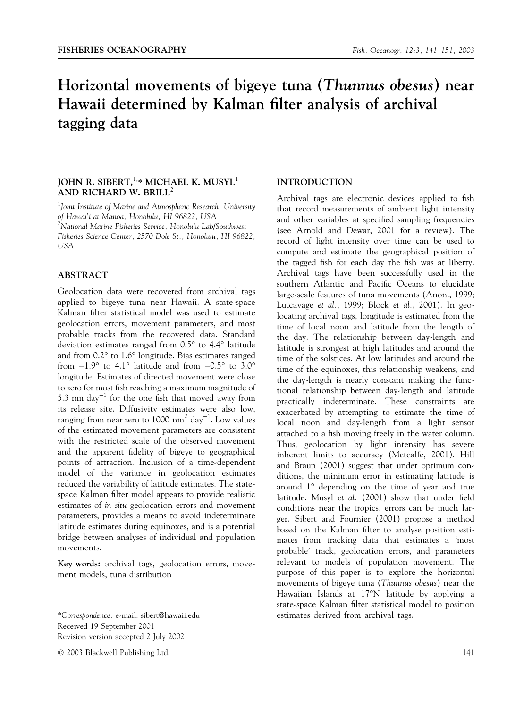# Horizontal movements of bigeye tuna (Thunnus obesus) near Hawaii determined by Kalman filter analysis of archival tagging data

# JOHN R. SIBERT,<sup>1,\*</sup> MICHAEL K. MUSYL<sup>1</sup> AND RICHARD W. BRILL<sup>2</sup>

<sup>1</sup>Joint Institute of Marine and Atmospheric Research, University of Hawai'i at Manoa, Honolulu, HI 96822, USA

<sup>2</sup>National Marine Fisheries Service, Honolulu Lab/Southwest Fisheries Science Center, 2570 Dole St., Honolulu, HI 96822, USA

# ABSTRACT

Geolocation data were recovered from archival tags applied to bigeye tuna near Hawaii. A state-space Kalman filter statistical model was used to estimate geolocation errors, movement parameters, and most probable tracks from the recovered data. Standard deviation estimates ranged from  $0.5^{\circ}$  to  $4.4^{\circ}$  latitude and from 0.2° to 1.6° longitude. Bias estimates ranged from  $-1.9^{\circ}$  to 4.1° latitude and from  $-0.5^{\circ}$  to 3.0° longitude. Estimates of directed movement were close to zero for most fish reaching a maximum magnitude of 5.3 nm day<sup>-1</sup> for the one fish that moved away from its release site. Diffusivity estimates were also low, ranging from near zero to 1000 nm<sup>2</sup> day<sup>-1</sup>. Low values of the estimated movement parameters are consistent with the restricted scale of the observed movement and the apparent fidelity of bigeye to geographical points of attraction. Inclusion of a time-dependent model of the variance in geolocation estimates reduced the variability of latitude estimates. The statespace Kalman filter model appears to provide realistic estimates of in situ geolocation errors and movement parameters, provides a means to avoid indeterminate latitude estimates during equinoxes, and is a potential bridge between analyses of individual and population movements.

Key words: archival tags, geolocation errors, movement models, tuna distribution

Received 19 September 2001

# INTRODUCTION

Archival tags are electronic devices applied to fish that record measurements of ambient light intensity and other variables at specified sampling frequencies (see Arnold and Dewar, 2001 for a review). The record of light intensity over time can be used to compute and estimate the geographical position of the tagged fish for each day the fish was at liberty. Archival tags have been successfully used in the southern Atlantic and Pacific Oceans to elucidate large-scale features of tuna movements (Anon., 1999; Lutcavage et al., 1999; Block et al., 2001). In geolocating archival tags, longitude is estimated from the time of local noon and latitude from the length of the day. The relationship between day-length and latitude is strongest at high latitudes and around the time of the solstices. At low latitudes and around the time of the equinoxes, this relationship weakens, and the day-length is nearly constant making the functional relationship between day-length and latitude practically indeterminate. These constraints are exacerbated by attempting to estimate the time of local noon and day-length from a light sensor attached to a fish moving freely in the water column. Thus, geolocation by light intensity has severe inherent limits to accuracy (Metcalfe, 2001). Hill and Braun (2001) suggest that under optimum conditions, the minimum error in estimating latitude is around  $1^\circ$  depending on the time of year and true latitude. Musyl et al. (2001) show that under field conditions near the tropics, errors can be much larger. Sibert and Fournier (2001) propose a method based on the Kalman filter to analyse position estimates from tracking data that estimates a 'most probable' track, geolocation errors, and parameters relevant to models of population movement. The purpose of this paper is to explore the horizontal movements of bigeye tuna (Thunnus obesus) near the Hawaiian Islands at 17°N latitude by applying a state-space Kalman filter statistical model to position \*Correspondence. e-mail: sibert@hawaii.edu estimates derived from archival tags.

Revision version accepted 2 July 2002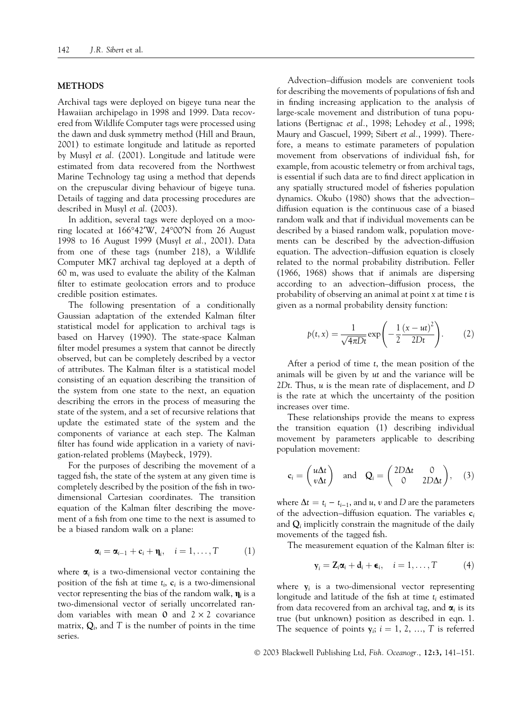#### METHODS

Archival tags were deployed on bigeye tuna near the Hawaiian archipelago in 1998 and 1999. Data recovered from Wildlife Computer tags were processed using the dawn and dusk symmetry method (Hill and Braun, 2001) to estimate longitude and latitude as reported by Musyl et al. (2001). Longitude and latitude were estimated from data recovered from the Northwest Marine Technology tag using a method that depends on the crepuscular diving behaviour of bigeye tuna. Details of tagging and data processing procedures are described in Musyl et al. (2003).

In addition, several tags were deployed on a mooring located at 166°42′W, 24°00′N from 26 August 1998 to 16 August 1999 (Musyl et al., 2001). Data from one of these tags (number 218), a Wildlife Computer MK7 archival tag deployed at a depth of 60 m, was used to evaluate the ability of the Kalman filter to estimate geolocation errors and to produce credible position estimates.

The following presentation of a conditionally Gaussian adaptation of the extended Kalman filter statistical model for application to archival tags is based on Harvey (1990). The state-space Kalman filter model presumes a system that cannot be directly observed, but can be completely described by a vector of attributes. The Kalman filter is a statistical model consisting of an equation describing the transition of the system from one state to the next, an equation describing the errors in the process of measuring the state of the system, and a set of recursive relations that update the estimated state of the system and the components of variance at each step. The Kalman filter has found wide application in a variety of navigation-related problems (Maybeck, 1979).

For the purposes of describing the movement of a tagged fish, the state of the system at any given time is completely described by the position of the fish in twodimensional Cartesian coordinates. The transition equation of the Kalman filter describing the movement of a fish from one time to the next is assumed to be a biased random walk on a plane:

$$
\mathbf{\alpha}_i = \mathbf{\alpha}_{i-1} + \mathbf{c}_i + \mathbf{\eta}_i, \quad i = 1, \dots, T \tag{1}
$$

where  $\alpha_i$  is a two-dimensional vector containing the position of the fish at time  $t_i$ ,  $\mathbf{c}_i$  is a two-dimensional vector representing the bias of the random walk,  $\eta_i$  is a two-dimensional vector of serially uncorrelated random variables with mean  $0$  and  $2 \times 2$  covariance matrix,  $\boldsymbol{Q}_{\!i}$ , and  $T$  is the number of points in the time series.

Advection–diffusion models are convenient tools for describing the movements of populations of fish and in finding increasing application to the analysis of large-scale movement and distribution of tuna populations (Bertignac et al., 1998; Lehodey et al., 1998; Maury and Gascuel, 1999; Sibert et al., 1999). Therefore, a means to estimate parameters of population movement from observations of individual fish, for example, from acoustic telemetry or from archival tags, is essential if such data are to find direct application in any spatially structured model of fisheries population dynamics. Okubo (1980) shows that the advection– diffusion equation is the continuous case of a biased random walk and that if individual movements can be described by a biased random walk, population movements can be described by the advection-diffusion equation. The advection–diffusion equation is closely related to the normal probability distribution. Feller (1966, 1968) shows that if animals are dispersing according to an advection–diffusion process, the probability of observing an animal at point x at time t is given as a normal probability density function:

$$
p(t,x) = \frac{1}{\sqrt{4\pi Dt}} \exp\left(-\frac{1}{2}\frac{(x - ut)^2}{2Dt}\right).
$$
 (2)

After a period of time  $t$ , the mean position of the animals will be given by ut and the variance will be 2Dt. Thus,  $u$  is the mean rate of displacement, and  $D$ is the rate at which the uncertainty of the position increases over time.

These relationships provide the means to express the transition equation (1) describing individual movement by parameters applicable to describing population movement:

$$
\mathbf{c}_i = \begin{pmatrix} u\Delta t \\ v\Delta t \end{pmatrix} \text{ and } \mathbf{Q}_i = \begin{pmatrix} 2D\Delta t & 0 \\ 0 & 2D\Delta t \end{pmatrix}, \quad (3)
$$

where  $\Delta t = t_i - t_{i-1}$ , and u, v and D are the parameters of the advection–diffusion equation. The variables  $c_i$ and  $Q_i$  implicitly constrain the magnitude of the daily movements of the tagged fish.

The measurement equation of the Kalman filter is:

$$
\mathbf{y}_i = \mathbf{Z}_i \mathbf{\alpha}_i + \mathbf{d}_i + \boldsymbol{\epsilon}_i, \quad i = 1, \dots, T \tag{4}
$$

where  $y_i$  is a two-dimensional vector representing longitude and latitude of the fish at time  $t_i$  estimated from data recovered from an archival tag, and  $\alpha_i$  is its true (but unknown) position as described in eqn. 1. The sequence of points  $y_i$ ;  $i = 1, 2, ..., T$  is referred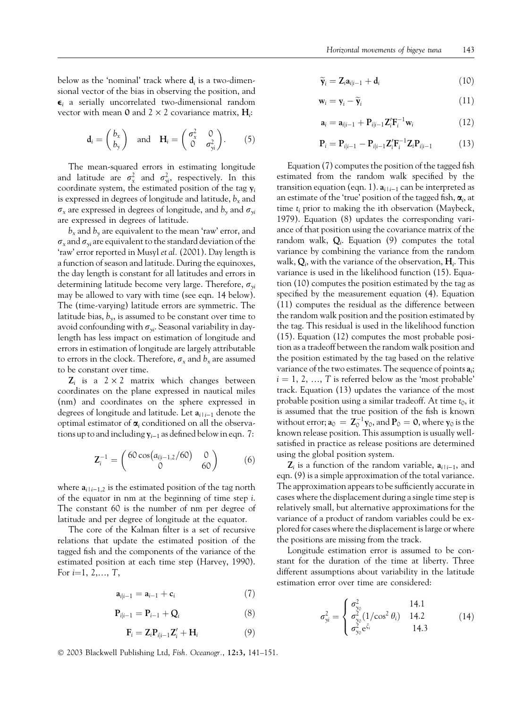below as the 'nominal' track where  $d_i$  is a two-dimensional vector of the bias in observing the position, and  $\epsilon_i$  a serially uncorrelated two-dimensional random vector with mean 0 and 2  $\times$  2 covariance matrix,  $\mathbf{H}_{i}:$ 

$$
\mathbf{d}_i = \begin{pmatrix} b_x \\ b_y \end{pmatrix} \quad \text{and} \quad \mathbf{H}_i = \begin{pmatrix} \sigma_x^2 & 0 \\ 0 & \sigma_{yi}^2 \end{pmatrix} . \tag{5}
$$

The mean-squared errors in estimating longitude and latitude are  $\sigma_x^2$  and  $\sigma_{yi}^2$ , respectively. In this coordinate system, the estimated position of the tag  $y_i$ is expressed in degrees of longitude and latitude,  $b_x$  and  $\sigma_x$  are expressed in degrees of longitude, and  $b_y$  and  $\sigma_{yi}$ are expressed in degrees of latitude.

 $b_x$  and  $b_y$  are equivalent to the mean 'raw' error, and  $\sigma_x$  and  $\sigma_{yi}$  are equivalent to the standard deviation of the 'raw' error reported in Musyl et al. (2001). Day length is a function of season and latitude. During the equinoxes, the day length is constant for all latitudes and errors in determining latitude become very large. Therefore,  $\sigma_{\gamma i}$ may be allowed to vary with time (see eqn. 14 below). The (time-varying) latitude errors are symmetric. The latitude bias,  $b_{\gamma}$ , is assumed to be constant over time to avoid confounding with  $\sigma_{\rm vi}$ . Seasonal variability in daylength has less impact on estimation of longitude and errors in estimation of longitude are largely attributable to errors in the clock. Therefore,  $\sigma_x$  and  $b_x$  are assumed to be constant over time.

 $Z_i$  is a  $2 \times 2$  matrix which changes between coordinates on the plane expressed in nautical miles (nm) and coordinates on the sphere expressed in degrees of longitude and latitude. Let  $a_{i|i-1}$  denote the optimal estimator of  $\alpha_i$  conditioned on all the observations up to and including  $y_{i-1}$  as defined below in eqn. 7:

$$
\mathbf{Z}_{i}^{-1} = \begin{pmatrix} 60 \cos(a_{i|i-1,2}/60) & 0\\ 0 & 60 \end{pmatrix}
$$
 (6)

where  $a_{i|i-1,2}$  is the estimated position of the tag north of the equator in nm at the beginning of time step i. The constant 60 is the number of nm per degree of latitude and per degree of longitude at the equator.

The core of the Kalman filter is a set of recursive relations that update the estimated position of the tagged fish and the components of the variance of the estimated position at each time step (Harvey, 1990). For  $i=1, 2, ..., T$ ,

$$
\mathbf{a}_{i|i-1} = \mathbf{a}_{i-1} + \mathbf{c}_i \tag{7}
$$

$$
\mathbf{P}_{i|i-1} = \mathbf{P}_{i-1} + \mathbf{Q}_i \tag{8}
$$

$$
\mathbf{F}_i = \mathbf{Z}_i \mathbf{P}_{i|i-1} \mathbf{Z}'_i + \mathbf{H}_i \tag{9}
$$

© 2003 Blackwell Publishing Ltd, Fish. Oceanogr., 12:3, 141-151.

$$
\widetilde{\mathbf{y}}_i = \mathbf{Z}_i \mathbf{a}_{i|i-1} + \mathbf{d}_i \tag{10}
$$

$$
\mathbf{w}_i = \mathbf{y}_i - \widetilde{\mathbf{y}}_i \tag{11}
$$

$$
\mathbf{a}_{i} = \mathbf{a}_{i|i-1} + \mathbf{P}_{i|i-1} \mathbf{Z}_{i}^{\prime} \mathbf{F}_{i}^{-1} \mathbf{w}_{i}
$$
 (12)

$$
\mathbf{P}_{i} = \mathbf{P}_{i|i-1} - \mathbf{P}_{i|i-1} \mathbf{Z}_{i}' \mathbf{F}_{i}^{-1} \mathbf{Z}_{i} \mathbf{P}_{i|i-1}
$$
(13)

Equation (7) computes the position of the tagged fish estimated from the random walk specified by the transition equation (eqn. 1).  $a_{i|i-1}$  can be interpreted as an estimate of the 'true' position of the tagged fish,  $\pmb{\alpha}_i$ , at time  $t_i$  prior to making the ith observation (Maybeck, 1979). Equation (8) updates the corresponding variance of that position using the covariance matrix of the random walk,  $\boldsymbol{Q}_i$ . Equation (9) computes the total variance by combining the variance from the random walk,  $Q_i$ , with the variance of the observation,  $H_i$ . This variance is used in the likelihood function (15). Equation (10) computes the position estimated by the tag as specified by the measurement equation (4). Equation (11) computes the residual as the difference between the random walk position and the position estimated by the tag. This residual is used in the likelihood function (15). Equation (12) computes the most probable position as a tradeoff between the random walk position and the position estimated by the tag based on the relative variance of the two estimates. The sequence of points  $\mathbf{a}_i$ ;  $i = 1, 2, ..., T$  is referred below as the 'most probable' track. Equation (13) updates the variance of the most probable position using a similar tradeoff. At time  $t_0$ , it is assumed that the true position of the fish is known without error;  $\mathbf{a}_0 = \mathbf{Z}_0^{-1} \mathbf{y}_0$ , and  $\mathbf{P}_0 = \mathbf{0}$ , where  $\mathbf{y}_0$  is the known release position. This assumption is usually wellsatisfied in practice as release positions are determined using the global position system.

 $Z_i$  is a function of the random variable,  $a_{i|i-1}$ , and eqn. (9) is a simple approximation of the total variance. The approximation appears to be sufficiently accurate in cases where the displacement during a single time step is relatively small, but alternative approximations for the variance of a product of random variables could be explored for cases where the displacement is large or where the positions are missing from the track.

Longitude estimation error is assumed to be constant for the duration of the time at liberty. Three different assumptions about variability in the latitude estimation error over time are considered:

$$
\sigma_{yi}^{2} = \begin{cases}\n\sigma_{y_{0}}^{2} & 14.1 \\
\sigma_{y_{0}}^{2}(1/\cos^{2} \theta_{i}) & 14.2 \\
\sigma_{y_{0}}^{2} e^{\xi_{i}} & 14.3\n\end{cases}
$$
\n(14)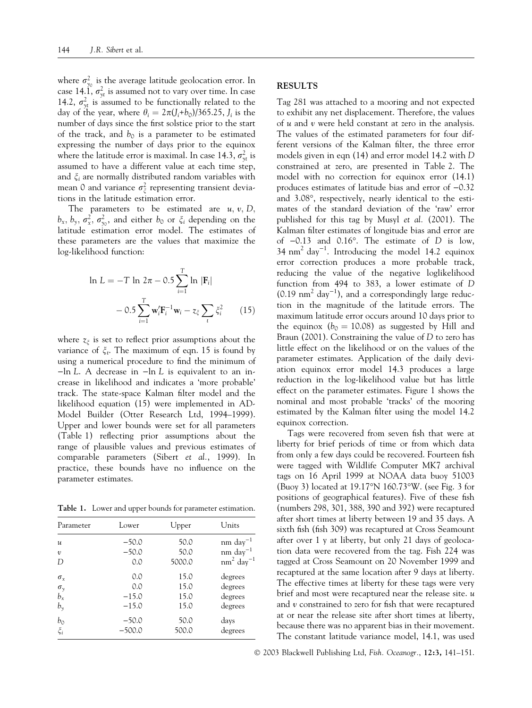where  $\sigma_{y_0}^2$  is the average latitude geolocation error. In case 14.1,  $\sigma_{yt}^2$  is assumed not to vary over time. In case 14.2,  $\sigma_{yt}^2$  is assumed to be functionally related to the day of the year, where  $\theta_i = 2\pi (J_i + b_0)/365.25$ ,  $J_i$  is the number of days since the first solstice prior to the start of the track, and  $b_0$  is a parameter to be estimated expressing the number of days prior to the equinox where the latitude error is maximal. In case 14.3,  $\sigma_{yt}^2$  is assumed to have a different value at each time step, and  $\xi$  are normally distributed random variables with mean 0 and variance  $\sigma_{\xi}^2$  representing transient deviations in the latitude estimation error.

The parameters to be estimated are  $u, v, D$ ,  $b_x, b_y, \sigma_x^2, \sigma_{y_0}^2$ , and either  $b_0$  or  $\xi_i$  depending on the latitude estimation error model. The estimates of these parameters are the values that maximize the log-likelihood function:

$$
\ln L = -T \ln 2\pi - 0.5 \sum_{i=1}^{T} \ln |\mathbf{F}_i|
$$

$$
- 0.5 \sum_{i=1}^{T} \mathbf{w}_i' \mathbf{F}_i^{-1} \mathbf{w}_i - z_{\xi} \sum_{t} \xi_i^2 \qquad (15)
$$

where  $z_{\xi}$  is set to reflect prior assumptions about the variance of  $\xi_t$ . The maximum of eqn. 15 is found by using a numerical procedure to find the minimum of  $-\ln L$ . A decrease in  $-\ln L$  is equivalent to an increase in likelihood and indicates a 'more probable' track. The state-space Kalman filter model and the likelihood equation (15) were implemented in AD-Model Builder (Otter Research Ltd, 1994–1999). Upper and lower bounds were set for all parameters (Table 1) reflecting prior assumptions about the range of plausible values and previous estimates of comparable parameters (Sibert et al., 1999). In practice, these bounds have no influence on the parameter estimates.

Table 1. Lower and upper bounds for parameter estimation.

| Parameter        | Lower    | Upper  | Units                    |  |  |
|------------------|----------|--------|--------------------------|--|--|
| и                | $-50.0$  | 50.0   | $nm \, day^{-1}$         |  |  |
| $\mathbf{v}$     | $-50.0$  | 50.0   | $nm \, day^{-1}$         |  |  |
| D                | 0.0      | 5000.0 | $nm^2$ day <sup>-1</sup> |  |  |
| $\sigma_{\rm x}$ | 0.0      | 15.0   | degrees                  |  |  |
| $\sigma_{y}$     | 0.0      | 15.0   | degrees                  |  |  |
| $b_{x}$          | $-15.0$  | 15.0   | degrees                  |  |  |
| $b_{\gamma}$     | $-15.0$  | 15.0   | degrees                  |  |  |
| $b_{\rm O}$      | $-50.0$  | 50.0   | days                     |  |  |
| $\xi_i$          | $-500.0$ | 500.0  | degrees                  |  |  |

### RESULTS

Tag 281 was attached to a mooring and not expected to exhibit any net displacement. Therefore, the values of  $u$  and  $v$  were held constant at zero in the analysis. The values of the estimated parameters for four different versions of the Kalman filter, the three error models given in eqn (14) and error model 14.2 with D constrained at zero, are presented in Table 2. The model with no correction for equinox error (14.1) produces estimates of latitude bias and error of  $-0.32$ and 3.08°, respectively, nearly identical to the estimates of the standard deviation of the 'raw' error published for this tag by Musyl et al. (2001). The Kalman filter estimates of longitude bias and error are of  $-0.13$  and  $0.16^\circ$ . The estimate of D is low, 34 nm<sup>2</sup> day<sup>-1</sup>. Introducing the model 14.2 equinox error correction produces a more probable track, reducing the value of the negative loglikelihood function from 494 to 383, a lower estimate of D  $(0.19 \text{ nm}^2 \text{ day}^{-1})$ , and a correspondingly large reduction in the magnitude of the latitude errors. The maximum latitude error occurs around 10 days prior to the equinox ( $b_0 = 10.08$ ) as suggested by Hill and Braun (2001). Constraining the value of D to zero has little effect on the likelihood or on the values of the parameter estimates. Application of the daily deviation equinox error model 14.3 produces a large reduction in the log-likelihood value but has little effect on the parameter estimates. Figure 1 shows the nominal and most probable 'tracks' of the mooring estimated by the Kalman filter using the model 14.2 equinox correction.

Tags were recovered from seven fish that were at liberty for brief periods of time or from which data from only a few days could be recovered. Fourteen fish were tagged with Wildlife Computer MK7 archival tags on 16 April 1999 at NOAA data buoy 51003 (Buoy 3) located at  $19.17^{\circ}\text{N}$  160.73°W. (see Fig. 3 for positions of geographical features). Five of these fish (numbers 298, 301, 388, 390 and 392) were recaptured after short times at liberty between 19 and 35 days. A sixth fish (fish 309) was recaptured at Cross Seamount after over 1 y at liberty, but only 21 days of geolocation data were recovered from the tag. Fish 224 was tagged at Cross Seamount on 20 November 1999 and recaptured at the same location after 9 days at liberty. The effective times at liberty for these tags were very brief and most were recaptured near the release site. u and  $v$  constrained to zero for fish that were recaptured at or near the release site after short times at liberty, because there was no apparent bias in their movement. The constant latitude variance model, 14.1, was used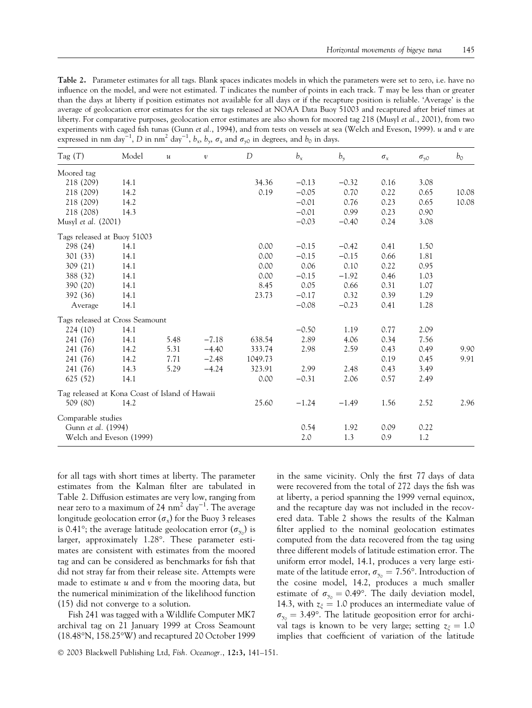Table 2. Parameter estimates for all tags. Blank spaces indicates models in which the parameters were set to zero, i.e. have no influence on the model, and were not estimated. T indicates the number of points in each track. T may be less than or greater than the days at liberty if position estimates not available for all days or if the recapture position is reliable. 'Average' is the average of geolocation error estimates for the six tags released at NOAA Data Buoy 51003 and recaptured after brief times at liberty. For comparative purposes, geolocation error estimates are also shown for moored tag 218 (Musyl et al., 2001), from two experiments with caged fish tunas (Gunn et al., 1994), and from tests on vessels at sea (Welch and Eveson, 1999).  $u$  and  $v$  are expressed in nm day<sup>-1</sup>, D in nm<sup>2</sup> day<sup>-1</sup>,  $b_x$ ,  $b_y$ ,  $\sigma_x$  and  $\sigma_{y0}$  in degrees, and  $b_0$  in days.

| Tag $(T)$                                      | Model | $\boldsymbol{\mathcal{U}}$ | $\boldsymbol{\upsilon}$ | D       | $b_x$   | $b_{\gamma}$ | $\sigma_x$ | $\sigma_{\rm v0}$ | $b_{\rm O}$ |
|------------------------------------------------|-------|----------------------------|-------------------------|---------|---------|--------------|------------|-------------------|-------------|
| Moored tag                                     |       |                            |                         |         |         |              |            |                   |             |
| 218 (209)                                      | 14.1  |                            |                         | 34.36   | $-0.13$ | $-0.32$      | 0.16       | 3.08              |             |
| 218 (209)                                      | 14.2  |                            |                         | 0.19    | $-0.05$ | 0.70         | 0.22       | 0.65              | 10.08       |
| 218 (209)                                      | 14.2  |                            |                         |         | $-0.01$ | 0.76         | 0.23       | 0.65              | 10.08       |
| 218 (208)                                      | 14.3  |                            |                         |         | $-0.01$ | 0.99         | 0.23       | 0.90              |             |
| Musyl et al. (2001)                            |       |                            |                         |         | $-0.03$ | $-0.40$      | 0.24       | 3.08              |             |
| Tags released at Buoy 51003                    |       |                            |                         |         |         |              |            |                   |             |
| 298 (24)                                       | 14.1  |                            |                         | 0.00    | $-0.15$ | $-0.42$      | 0.41       | 1.50              |             |
| 301 (33)                                       | 14.1  |                            |                         | 0.00    | $-0.15$ | $-0.15$      | 0.66       | 1.81              |             |
| 309 (21)                                       | 14.1  |                            |                         | 0.00    | 0.06    | 0.10         | 0.22       | 0.95              |             |
| 388 (32)                                       | 14.1  |                            |                         | 0.00    | $-0.15$ | $-1.92$      | 0.46       | 1.03              |             |
| 390 (20)                                       | 14.1  |                            |                         | 8.45    | 0.05    | 0.66         | 0.31       | 1.07              |             |
| 392 (36)                                       | 14.1  |                            |                         | 23.73   | $-0.17$ | 0.32         | 0.39       | 1.29              |             |
| Average                                        | 14.1  |                            |                         |         | $-0.08$ | $-0.23$      | 0.41       | 1.28              |             |
| Tags released at Cross Seamount                |       |                            |                         |         |         |              |            |                   |             |
| 224 (10)                                       | 14.1  |                            |                         |         | $-0.50$ | 1.19         | 0.77       | 2.09              |             |
| 241 (76)                                       | 14.1  | 5.48                       | $-7.18$                 | 638.54  | 2.89    | 4.06         | 0.34       | 7.56              |             |
| 241 (76)                                       | 14.2  | 5.31                       | $-4.40$                 | 333.74  | 2.98    | 2.59         | 0.43       | 0.49              | 9.90        |
| 241 (76)                                       | 14.2  | 7.71                       | $-2.48$                 | 1049.73 |         |              | 0.19       | 0.45              | 9.91        |
| 241 (76)                                       | 14.3  | 5.29                       | $-4.24$                 | 323.91  | 2.99    | 2.48         | 0.43       | 3.49              |             |
| 625 (52)                                       | 14.1  |                            |                         | 0.00    | $-0.31$ | 2.06         | 0.57       | 2.49              |             |
| Tag released at Kona Coast of Island of Hawaii |       |                            |                         |         |         |              |            |                   |             |
| 509 (80)                                       | 14.2  |                            |                         | 25.60   | $-1.24$ | $-1.49$      | 1.56       | 2.52              | 2.96        |
| Comparable studies                             |       |                            |                         |         |         |              |            |                   |             |
| Gunn et al. (1994)                             |       |                            |                         |         | 0.54    | 1.92         | 0.09       | 0.22              |             |
| Welch and Eveson (1999)                        |       |                            |                         |         | 2.0     | 1.3          | 0.9        | 1.2               |             |

for all tags with short times at liberty. The parameter estimates from the Kalman filter are tabulated in Table 2. Diffusion estimates are very low, ranging from near zero to a maximum of 24 nm<sup>2</sup> day<sup>-1</sup>. The average longitude geolocation error  $(\sigma_x)$  for the Buoy 3 releases is 0.41°; the average latitude geolocation error  $(\sigma_{y_0})$  is larger, approximately 1.28°. These parameter estimates are consistent with estimates from the moored tag and can be considered as benchmarks for fish that did not stray far from their release site. Attempts were made to estimate  $u$  and  $v$  from the mooring data, but the numerical minimization of the likelihood function (15) did not converge to a solution.

Fish 241 was tagged with a Wildlife Computer MK7 archival tag on 21 January 1999 at Cross Seamount (18.48N, 158.25W) and recaptured 20 October 1999

in the same vicinity. Only the first 77 days of data were recovered from the total of 272 days the fish was at liberty, a period spanning the 1999 vernal equinox, and the recapture day was not included in the recovered data. Table 2 shows the results of the Kalman filter applied to the nominal geolocation estimates computed from the data recovered from the tag using three different models of latitude estimation error. The uniform error model, 14.1, produces a very large estimate of the latitude error,  $\sigma_{y_0} = 7.56^\circ$ . Introduction of the cosine model, 14.2, produces a much smaller estimate of  $\sigma_{y_0} = 0.49^\circ$ . The daily deviation model, 14.3, with  $z_{\xi} = 1.0$  produces an intermediate value of  $\sigma_{\gamma_0} = 3.49^\circ$ . The latitude geoposition error for archival tags is known to be very large; setting  $z_{\xi} = 1.0$ implies that coefficient of variation of the latitude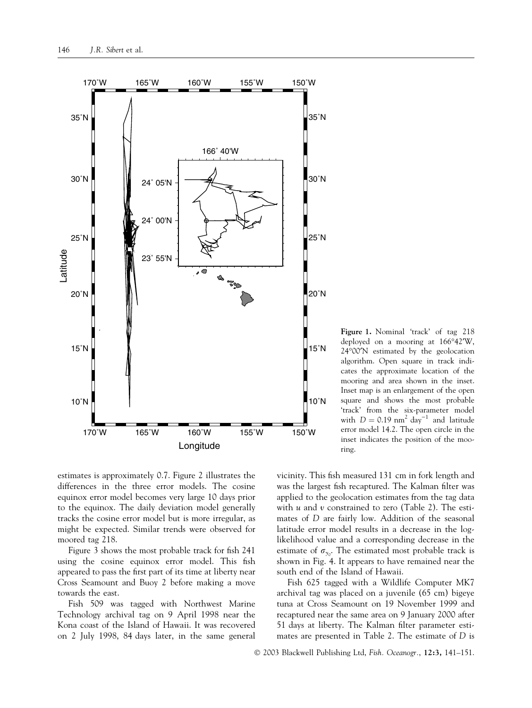

Figure 1. Nominal 'track' of tag 218 deployed on a mooring at  $166^{\circ}42'W$ ,  $24^{\circ}00^{\prime}$ N estimated by the geolocation algorithm. Open square in track indicates the approximate location of the mooring and area shown in the inset. Inset map is an enlargement of the open square and shows the most probable 'track' from the six-parameter model with  $D = 0.19$  nm<sup>2</sup> day<sup>-1</sup> and latitude error model 14.2. The open circle in the inset indicates the position of the mooring.

estimates is approximately 0.7. Figure 2 illustrates the differences in the three error models. The cosine equinox error model becomes very large 10 days prior to the equinox. The daily deviation model generally tracks the cosine error model but is more irregular, as might be expected. Similar trends were observed for moored tag 218.

Figure 3 shows the most probable track for fish 241 using the cosine equinox error model. This fish appeared to pass the first part of its time at liberty near Cross Seamount and Buoy 2 before making a move towards the east.

Fish 509 was tagged with Northwest Marine Technology archival tag on 9 April 1998 near the Kona coast of the Island of Hawaii. It was recovered on 2 July 1998, 84 days later, in the same general vicinity. This fish measured 131 cm in fork length and was the largest fish recaptured. The Kalman filter was applied to the geolocation estimates from the tag data with  $u$  and  $v$  constrained to zero (Table 2). The estimates of D are fairly low. Addition of the seasonal latitude error model results in a decrease in the loglikelihood value and a corresponding decrease in the estimate of  $\sigma_{y_0}$ . The estimated most probable track is shown in Fig. 4. It appears to have remained near the south end of the Island of Hawaii.

Fish 625 tagged with a Wildlife Computer MK7 archival tag was placed on a juvenile (65 cm) bigeye tuna at Cross Seamount on 19 November 1999 and recaptured near the same area on 9 January 2000 after 51 days at liberty. The Kalman filter parameter estimates are presented in Table 2. The estimate of D is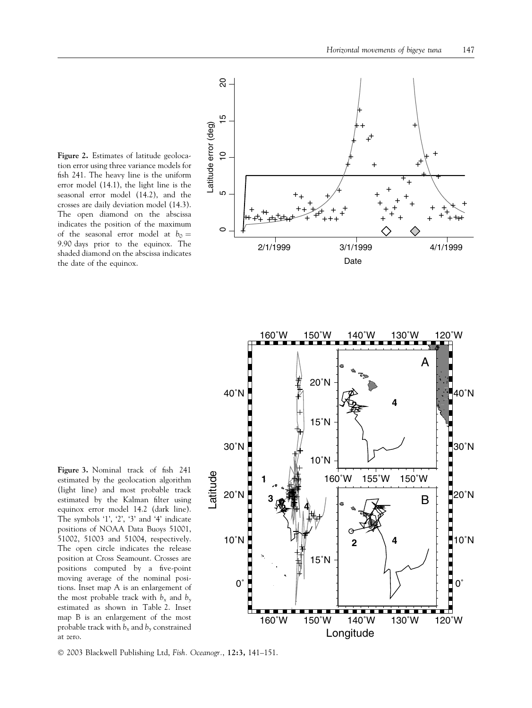





Figure 3. Nominal track of fish 241 estimated by the geolocation algorithm (light line) and most probable track estimated by the Kalman filter using equinox error model 14.2 (dark line). The symbols '1', '2', '3' and '4' indicate positions of NOAA Data Buoys 51001, 51002, 51003 and 51004, respectively. The open circle indicates the release position at Cross Seamount. Crosses are positions computed by a five-point moving average of the nominal positions. Inset map A is an enlargement of the most probable track with  $b_x$  and  $b_y$ estimated as shown in Table 2. Inset map B is an enlargement of the most probable track with  $b_x$  and  $b_y$  constrained at zero.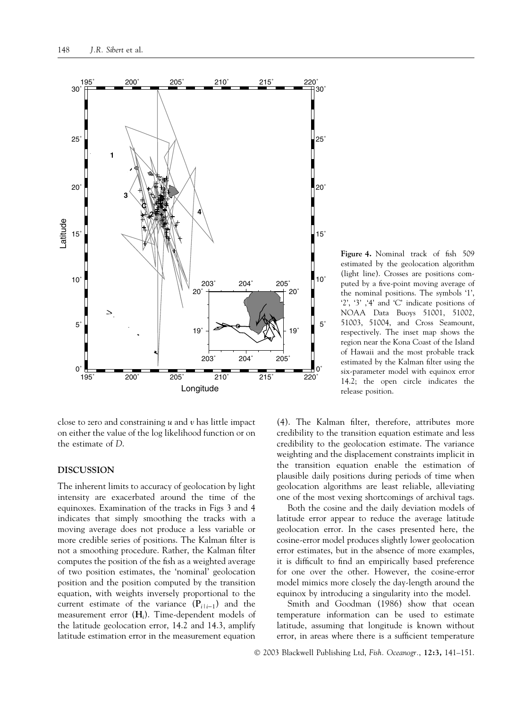

close to zero and constraining  $u$  and  $v$  has little impact on either the value of the log likelihood function or on the estimate of D.

# DISCUSSION

The inherent limits to accuracy of geolocation by light intensity are exacerbated around the time of the equinoxes. Examination of the tracks in Figs 3 and 4 indicates that simply smoothing the tracks with a moving average does not produce a less variable or more credible series of positions. The Kalman filter is not a smoothing procedure. Rather, the Kalman filter computes the position of the fish as a weighted average of two position estimates, the 'nominal' geolocation position and the position computed by the transition equation, with weights inversely proportional to the current estimate of the variance  $(P_{i|i-1})$  and the measurement error  $(\mathbf{H}_{i})$ . Time-dependent models of the latitude geolocation error, 14.2 and 14.3, amplify latitude estimation error in the measurement equation



(4). The Kalman filter, therefore, attributes more credibility to the transition equation estimate and less credibility to the geolocation estimate. The variance weighting and the displacement constraints implicit in the transition equation enable the estimation of plausible daily positions during periods of time when geolocation algorithms are least reliable, alleviating one of the most vexing shortcomings of archival tags.

Both the cosine and the daily deviation models of latitude error appear to reduce the average latitude geolocation error. In the cases presented here, the cosine-error model produces slightly lower geolocation error estimates, but in the absence of more examples, it is difficult to find an empirically based preference for one over the other. However, the cosine-error model mimics more closely the day-length around the equinox by introducing a singularity into the model.

Smith and Goodman (1986) show that ocean temperature information can be used to estimate latitude, assuming that longitude is known without error, in areas where there is a sufficient temperature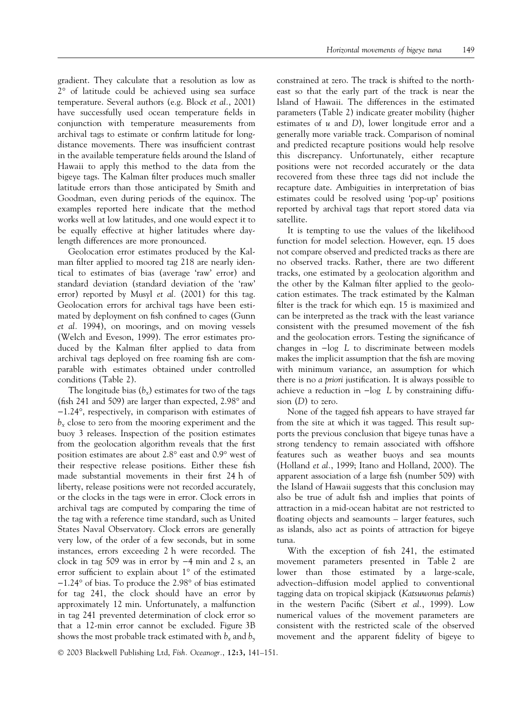gradient. They calculate that a resolution as low as  $2^{\circ}$  of latitude could be achieved using sea surface temperature. Several authors (e.g. Block et al., 2001) have successfully used ocean temperature fields in conjunction with temperature measurements from archival tags to estimate or confirm latitude for longdistance movements. There was insufficient contrast in the available temperature fields around the Island of Hawaii to apply this method to the data from the bigeye tags. The Kalman filter produces much smaller latitude errors than those anticipated by Smith and Goodman, even during periods of the equinox. The examples reported here indicate that the method works well at low latitudes, and one would expect it to be equally effective at higher latitudes where daylength differences are more pronounced.

Geolocation error estimates produced by the Kalman filter applied to moored tag 218 are nearly identical to estimates of bias (average 'raw' error) and standard deviation (standard deviation of the 'raw' error) reported by Musyl et al. (2001) for this tag. Geolocation errors for archival tags have been estimated by deployment on fish confined to cages (Gunn et al. 1994), on moorings, and on moving vessels (Welch and Eveson, 1999). The error estimates produced by the Kalman filter applied to data from archival tags deployed on free roaming fish are comparable with estimates obtained under controlled conditions (Table 2).

The longitude bias  $(b_x)$  estimates for two of the tags (fish 241 and 509) are larger than expected,  $2.98^\circ$  and  $-1.24^{\circ}$ , respectively, in comparison with estimates of  $b_x$  close to zero from the mooring experiment and the buoy 3 releases. Inspection of the position estimates from the geolocation algorithm reveals that the first position estimates are about  $2.8^{\circ}$  east and  $0.9^{\circ}$  west of their respective release positions. Either these fish made substantial movements in their first 24 h of liberty, release positions were not recorded accurately, or the clocks in the tags were in error. Clock errors in archival tags are computed by comparing the time of the tag with a reference time standard, such as United States Naval Observatory. Clock errors are generally very low, of the order of a few seconds, but in some instances, errors exceeding 2 h were recorded. The clock in tag 509 was in error by  $-4$  min and 2 s, and error sufficient to explain about  $1^{\circ}$  of the estimated  $-1.24^{\circ}$  of bias. To produce the 2.98 $^{\circ}$  of bias estimated for tag 241, the clock should have an error by approximately 12 min. Unfortunately, a malfunction in tag 241 prevented determination of clock error so that a 12-min error cannot be excluded. Figure 3B shows the most probable track estimated with  $b_x$  and  $b_y$  constrained at zero. The track is shifted to the northeast so that the early part of the track is near the Island of Hawaii. The differences in the estimated parameters (Table 2) indicate greater mobility (higher estimates of  $u$  and  $D$ ), lower longitude error and a generally more variable track. Comparison of nominal and predicted recapture positions would help resolve this discrepancy. Unfortunately, either recapture positions were not recorded accurately or the data recovered from these three tags did not include the recapture date. Ambiguities in interpretation of bias estimates could be resolved using 'pop-up' positions reported by archival tags that report stored data via satellite.

It is tempting to use the values of the likelihood function for model selection. However, eqn. 15 does not compare observed and predicted tracks as there are no observed tracks. Rather, there are two different tracks, one estimated by a geolocation algorithm and the other by the Kalman filter applied to the geolocation estimates. The track estimated by the Kalman filter is the track for which eqn. 15 is maximized and can be interpreted as the track with the least variance consistent with the presumed movement of the fish and the geolocation errors. Testing the significance of changes in  $-\log L$  to discriminate between models makes the implicit assumption that the fish are moving with minimum variance, an assumption for which there is no a priori justification. It is always possible to achieve a reduction in  $-\log L$  by constraining diffusion (D) to zero.

None of the tagged fish appears to have strayed far from the site at which it was tagged. This result supports the previous conclusion that bigeye tunas have a strong tendency to remain associated with offshore features such as weather buoys and sea mounts (Holland et al., 1999; Itano and Holland, 2000). The apparent association of a large fish (number 509) with the Island of Hawaii suggests that this conclusion may also be true of adult fish and implies that points of attraction in a mid-ocean habitat are not restricted to floating objects and seamounts – larger features, such as islands, also act as points of attraction for bigeye tuna.

With the exception of fish 241, the estimated movement parameters presented in Table 2 are lower than those estimated by a large-scale, advection–diffusion model applied to conventional tagging data on tropical skipjack (Katsuwonus pelamis) in the western Pacific (Sibert et al., 1999). Low numerical values of the movement parameters are consistent with the restricted scale of the observed movement and the apparent fidelity of bigeye to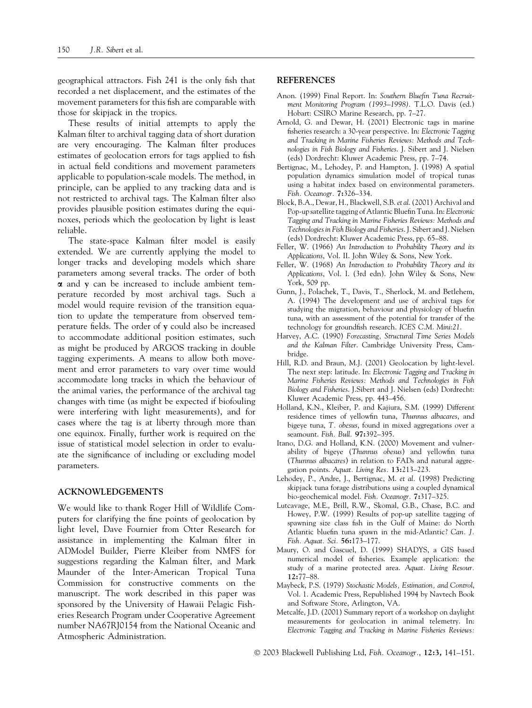geographical attractors. Fish 241 is the only fish that recorded a net displacement, and the estimates of the movement parameters for this fish are comparable with those for skipjack in the tropics.

These results of initial attempts to apply the Kalman filter to archival tagging data of short duration are very encouraging. The Kalman filter produces estimates of geolocation errors for tags applied to fish in actual field conditions and movement parameters applicable to population-scale models. The method, in principle, can be applied to any tracking data and is not restricted to archival tags. The Kalman filter also provides plausible position estimates during the equinoxes, periods which the geolocation by light is least reliable.

The state-space Kalman filter model is easily extended. We are currently applying the model to longer tracks and developing models which share parameters among several tracks. The order of both a and y can be increased to include ambient temperature recorded by most archival tags. Such a model would require revision of the transition equation to update the temperature from observed temperature fields. The order of y could also be increased to accommodate additional position estimates, such as might be produced by ARGOS tracking in double tagging experiments. A means to allow both movement and error parameters to vary over time would accommodate long tracks in which the behaviour of the animal varies, the performance of the archival tag changes with time (as might be expected if biofouling were interfering with light measurements), and for cases where the tag is at liberty through more than one equinox. Finally, further work is required on the issue of statistical model selection in order to evaluate the significance of including or excluding model parameters.

# ACKNOWLEDGEMENTS

We would like to thank Roger Hill of Wildlife Computers for clarifying the fine points of geolocation by light level, Dave Fournier from Otter Research for assistance in implementing the Kalman filter in ADModel Builder, Pierre Kleiber from NMFS for suggestions regarding the Kalman filter, and Mark Maunder of the Inter-American Tropical Tuna Commission for constructive comments on the manuscript. The work described in this paper was sponsored by the University of Hawaii Pelagic Fisheries Research Program under Cooperative Agreement number NA67RJ0154 from the National Oceanic and Atmospheric Administration.

#### REFERENCES

- Anon. (1999) Final Report. In: Southern Bluefin Tuna Recruitment Monitoring Program (1993–1998). T.L.O. Davis (ed.) Hobart: CSIRO Marine Research, pp. 7–27.
- Arnold, G. and Dewar, H. (2001) Electronic tags in marine fisheries research: a 30-year perspective. In: Electronic Tagging and Tracking in Marine Fisheries Reviews: Methods and Technologies in Fish Biology and Fisheries. J. Sibert and J. Nielsen (eds) Dordrecht: Kluwer Academic Press, pp. 7–74.
- Bertignac, M., Lehodey, P. and Hampton, J. (1998) A spatial population dynamics simulation model of tropical tunas using a habitat index based on environmental parameters. Fish. Oceanogr. 7:326–334.
- Block, B.A., Dewar, H., Blackwell, S.B.et al. (2001) Archival and Pop-up satellite tagging of Atlantic Bluefin Tuna. In: Electronic Tagging and Tracking in Marine Fisheries Reviews: Methods and Technologies in Fish Biology and Fisheries. J. Sibert and J. Nielsen (eds) Dordrecht: Kluwer Academic Press, pp. 65–88.
- Feller, W. (1966) An Introduction to Probability Theory and its Applications, Vol. II. John Wiley & Sons, New York.
- Feller, W. (1968) An Introduction to Probability Theory and its Applications, Vol. I. (3rd edn). John Wiley & Sons, New York, 509 pp.
- Gunn, J., Polachek, T., Davis, T., Sherlock, M. and Betlehem, A. (1994) The development and use of archival tags for studying the migration, behaviour and physiology of bluefin tuna, with an assessment of the potential for transfer of the technology for groundfish research. ICES C.M. Mini:21.
- Harvey, A.C. (1990) Forecasting, Structural Time Series Models and the Kalman Filter. Cambridge University Press, Cambridge.
- Hill, R.D. and Braun, M.J. (2001) Geolocation by light-level. The next step: latitude. In: Electronic Tagging and Tracking in Marine Fisheries Reviews: Methods and Technologies in Fish Biology and Fisheries. J.Sibert and J. Nielsen (eds) Dordrecht: Kluwer Academic Press, pp. 443–456.
- Holland, K.N., Kleiber, P. and Kajiura, S.M. (1999) Different residence times of yellowfin tuna, Thunnus albacares, and bigeye tuna, T. obesus, found in mixed aggregations over a seamount. Fish. Bull. 97:392–395.
- Itano, D.G. and Holland, K.N. (2000) Movement and vulnerability of bigeye (Thunnus obesus) and yellowfin tuna (Thunnus albacares) in relation to FADs and natural aggregation points. Aquat. Living Res. 13:213–223.
- Lehodey, P., Andre, J., Bertignac, M. et al. (1998) Predicting skipjack tuna forage distributions using a coupled dynamical bio-geochemical model. Fish. Oceanogr. 7:317–325.
- Lutcavage, M.E., Brill, R.W., Skomal, G.B., Chase, B.C. and Howey, P.W. (1999) Results of pop-up satellite tagging of spawning size class fish in the Gulf of Maine: do North Atlantic bluefin tuna spawn in the mid-Atlantic? Can. J. Fish. Aquat. Sci. 56:173–177.
- Maury, O. and Gascuel, D. (1999) SHADYS, a GIS based numerical model of fisheries. Example application: the study of a marine protected area. Aquat. Living Resour. 12:77–88.
- Maybeck, P.S. (1979) Stochastic Models, Estimation, and Control, Vol. 1. Academic Press, Republished 1994 by Navtech Book and Software Store, Arlington, VA.
- Metcalfe, J.D. (2001) Summary report of a workshop on daylight measurements for geolocation in animal telemetry. In: Electronic Tagging and Tracking in Marine Fisheries Reviews: